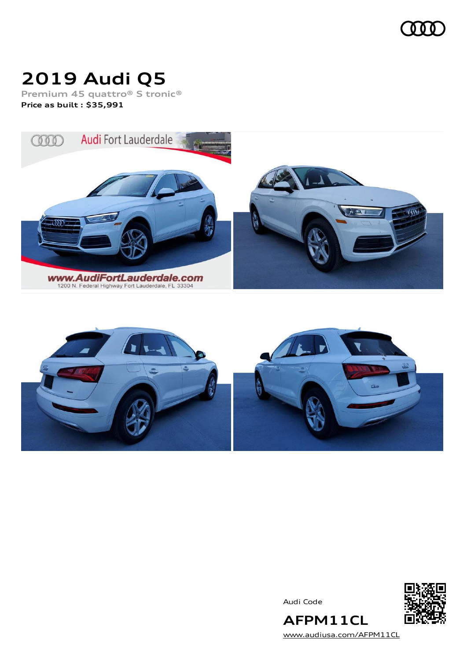

# **2019 Audi Q5**

**Premium 45 quattro® S tronic® Price as built [:](#page-10-0) \$35,991**





Audi Code



**AFPM11CL** [www.audiusa.com/AFPM11CL](https://www.audiusa.com/AFPM11CL)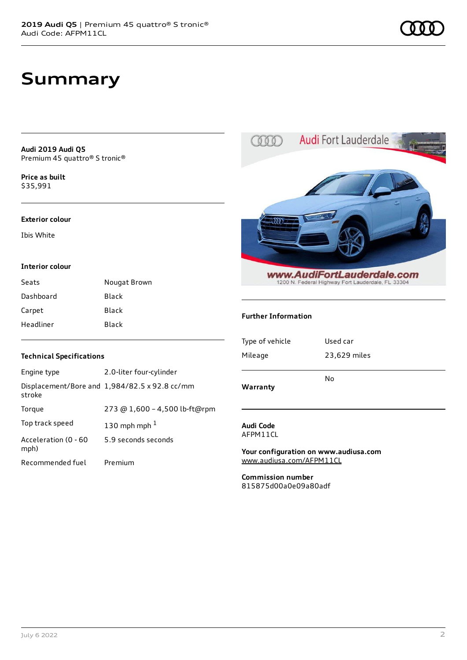## **Summary**

**Audi 2019 Audi Q5** Premium 45 quattro® S tronic®

**Price as buil[t](#page-10-0)** \$35,991

#### **Exterior colour**

Ibis White

#### **Interior colour**

| Seats     | Nougat Brown |
|-----------|--------------|
| Dashboard | Black        |
| Carpet    | <b>Black</b> |
| Headliner | <b>Black</b> |



#### **Further Information**

| Type of vehicle | Used car     |
|-----------------|--------------|
| Mileage         | 23,629 miles |
|                 | No           |
| Warranty        |              |

#### **Audi Code** AFPM11CL

**Your configuration on www.audiusa.com** [www.audiusa.com/AFPM11CL](https://www.audiusa.com/AFPM11CL)

**Commission number** 815875d00a0e09a80adf

#### **Technical Specifications**

| Engine type                  | 2.0-liter four-cylinder                       |
|------------------------------|-----------------------------------------------|
| stroke                       | Displacement/Bore and 1,984/82.5 x 92.8 cc/mm |
| Torque                       | 273 @ 1,600 - 4,500 lb-ft@rpm                 |
| Top track speed              | 130 mph mph $1$                               |
| Acceleration (0 - 60<br>mph) | 5.9 seconds seconds                           |
| Recommended fuel             | Premium                                       |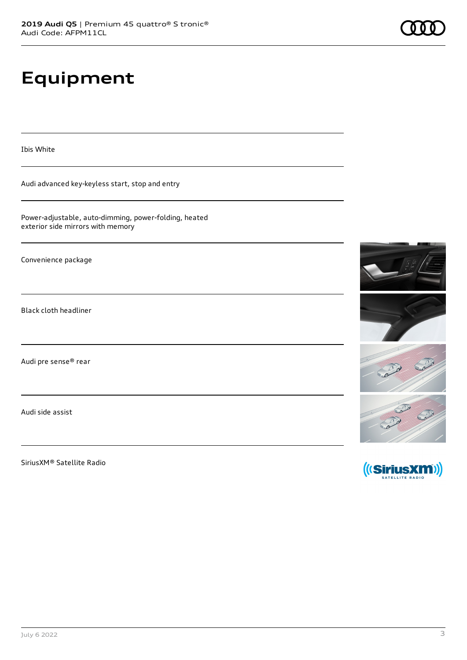# **Equipment**

Ibis White

Audi advanced key-keyless start, stop and entry

Power-adjustable, auto-dimming, power-folding, heated exterior side mirrors with memory

Convenience package

Black cloth headliner

Audi pre sense® rear

Audi side assist

SiriusXM® Satellite Radio



RESERVE SERVER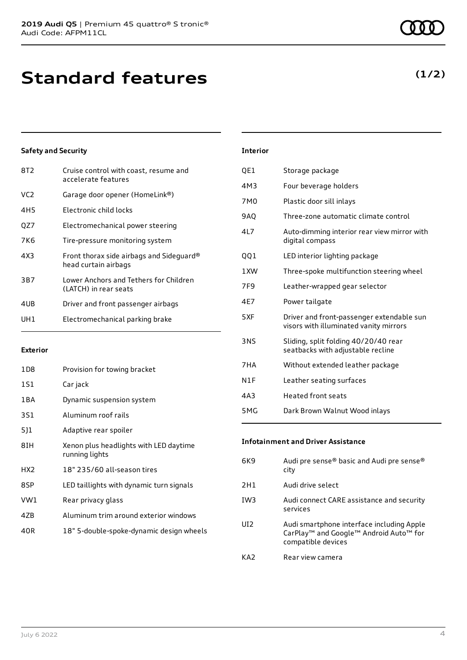### **Safety and Security**

| 8T2             | Cruise control with coast, resume and<br>accelerate features     |
|-----------------|------------------------------------------------------------------|
| VC <sub>2</sub> | Garage door opener (HomeLink®)                                   |
| 4H5             | Electronic child locks                                           |
| QZ7             | Electromechanical power steering                                 |
| 7K6             | Tire-pressure monitoring system                                  |
| 4X3             | Front thorax side airbags and Sideguard®<br>head curtain airbags |
| 3B7             | Lower Anchors and Tethers for Children<br>(LATCH) in rear seats  |
| 4UB             | Driver and front passenger airbags                               |
| UH1             | Electromechanical parking brake                                  |

#### **Exterior**

| 1D8   | Provision for towing bracket                             |
|-------|----------------------------------------------------------|
| 1S1   | Car jack                                                 |
| 1 B A | Dynamic suspension system                                |
| 3S1   | Aluminum roof rails                                      |
| 5]1   | Adaptive rear spoiler                                    |
| 8IH   | Xenon plus headlights with LED daytime<br>running lights |
| HX2   | 18" 235/60 all-season tires                              |
| 8SP   | LED taillights with dynamic turn signals                 |
| VW1   | Rear privacy glass                                       |
| 4ZB   | Aluminum trim around exterior windows                    |
| 40R   | 18" 5-double-spoke-dynamic design wheels                 |

### **Interior** QE1 Storage package 4M3 Four beverage holders 7M0 Plastic door sill inlays 9AQ Three-zone automatic climate control 4L7 Auto-dimming interior rear view mirror with digital compass QQ1 LED interior lighting package 1XW Three-spoke multifunction steering wheel 7F9 Leather-wrapped gear selector 4E7 Power tailgate 5XF Driver and front-passenger extendable sun visors with illuminated vanity mirrors 3NS Sliding, split folding 40/20/40 rear seatbacks with adjustable recline 7HA Without extended leather package N1F Leather seating surfaces 4A3 Heated front seats 5MG Dark Brown Walnut Wood inlays

#### **Infotainment and Driver Assistance**

| 6K9             | Audi pre sense® basic and Audi pre sense®<br>city                                                                                             |
|-----------------|-----------------------------------------------------------------------------------------------------------------------------------------------|
| 2H1             | Audi drive select                                                                                                                             |
| IW <sub>3</sub> | Audi connect CARE assistance and security<br>services                                                                                         |
| UI <sub>2</sub> | Audi smartphone interface including Apple<br>CarPlay <sup>™</sup> and Google <sup>™</sup> Android Auto <sup>™</sup> for<br>compatible devices |
| KA2             | Rear view camera                                                                                                                              |

### **(1/2)**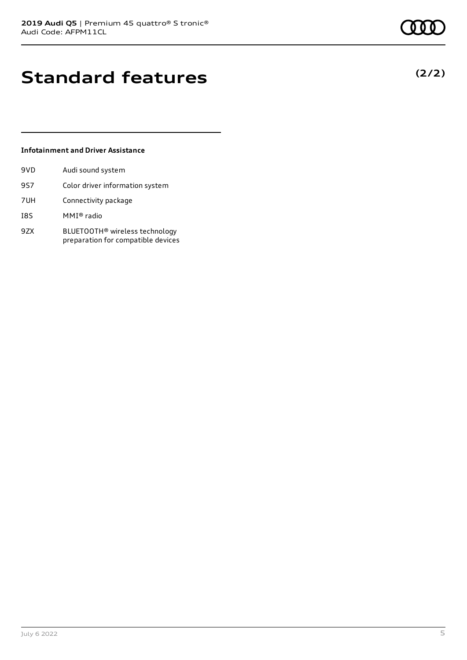## **Standard features**

#### **Infotainment and Driver Assistance**

| 9VD | Audi sound system                                                                |
|-----|----------------------------------------------------------------------------------|
| 9S7 | Color driver information system                                                  |
| 7UH | Connectivity package                                                             |
| I8S | MMI® radio                                                                       |
| 9ZX | BLUETOOTH <sup>®</sup> wireless technology<br>preparation for compatible devices |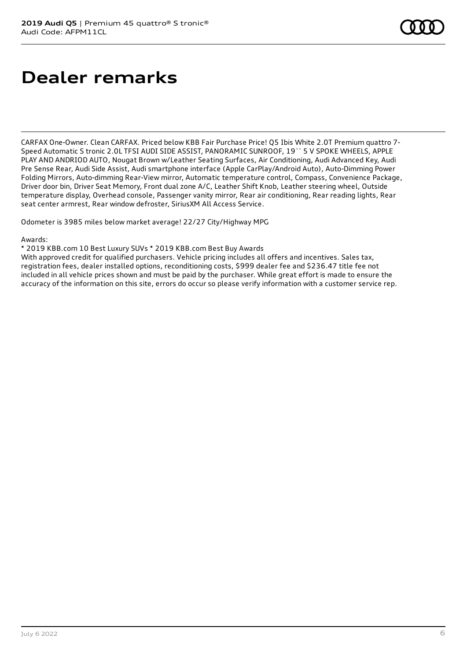# **Dealer remarks**

CARFAX One-Owner. Clean CARFAX. Priced below KBB Fair Purchase Price! Q5 Ibis White 2.0T Premium quattro 7- Speed Automatic S tronic 2.0L TFSI AUDI SIDE ASSIST, PANORAMIC SUNROOF, 19`` 5 V SPOKE WHEELS, APPLE PLAY AND ANDRIOD AUTO, Nougat Brown w/Leather Seating Surfaces, Air Conditioning, Audi Advanced Key, Audi Pre Sense Rear, Audi Side Assist, Audi smartphone interface (Apple CarPlay/Android Auto), Auto-Dimming Power Folding Mirrors, Auto-dimming Rear-View mirror, Automatic temperature control, Compass, Convenience Package, Driver door bin, Driver Seat Memory, Front dual zone A/C, Leather Shift Knob, Leather steering wheel, Outside temperature display, Overhead console, Passenger vanity mirror, Rear air conditioning, Rear reading lights, Rear seat center armrest, Rear window defroster, SiriusXM All Access Service.

Odometer is 3985 miles below market average! 22/27 City/Highway MPG

#### Awards:

\* 2019 KBB.com 10 Best Luxury SUVs \* 2019 KBB.com Best Buy Awards

With approved credit for qualified purchasers. Vehicle pricing includes all offers and incentives. Sales tax, registration fees, dealer installed options, reconditioning costs, \$999 dealer fee and \$236.47 title fee not included in all vehicle prices shown and must be paid by the purchaser. While great effort is made to ensure the accuracy of the information on this site, errors do occur so please verify information with a customer service rep.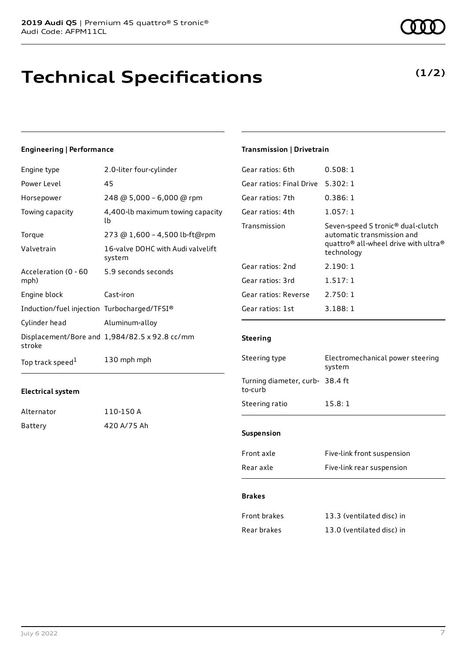### **Technical Specifications**

#### **Engineering | Performance**

| Engine type                                 | 2.0-liter four-cylinder                       |
|---------------------------------------------|-----------------------------------------------|
| Power Level                                 | 45                                            |
| Horsepower                                  | 248 @ 5,000 - 6,000 @ rpm                     |
| Towing capacity                             | 4,400-lb maximum towing capacity<br>lb        |
| Torque                                      | 273 @ 1,600 - 4,500 lb-ft@rpm                 |
| Valvetrain                                  | 16-valve DOHC with Audi valvelift<br>system   |
| Acceleration (0 - 60<br>mph)                | 5.9 seconds seconds                           |
| Engine block                                | Cast-iron                                     |
| Induction/fuel injection Turbocharged/TFSI® |                                               |
| Cylinder head                               | Aluminum-alloy                                |
| stroke                                      | Displacement/Bore and 1,984/82.5 x 92.8 cc/mm |
| Top track speed <sup>1</sup>                | 130 mph mph                                   |

#### **Electrical system**

| Alternator | 110-150 A   |
|------------|-------------|
| Battery    | 420 A/75 Ah |

#### **Transmission | Drivetrain**

| Gear ratios: 6th         | 0.508:1                                                                                                                                                   |
|--------------------------|-----------------------------------------------------------------------------------------------------------------------------------------------------------|
| Gear ratios: Final Drive | 5.302:1                                                                                                                                                   |
| Gear ratios: 7th         | 0.386:1                                                                                                                                                   |
| Gear ratios: 4th         | 1.057:1                                                                                                                                                   |
| Transmission             | Seven-speed S tronic <sup>®</sup> dual-clutch<br>automatic transmission and<br>quattro <sup>®</sup> all-wheel drive with ultra <sup>®</sup><br>technology |
| Gear ratios: 2nd         | 2.190:1                                                                                                                                                   |
| Gear ratios: 3rd         | 1.517:1                                                                                                                                                   |
| Gear ratios: Reverse     | 2.750:1                                                                                                                                                   |
| Gear ratios: 1st         | 3.188:1                                                                                                                                                   |
|                          |                                                                                                                                                           |

#### **Steering**

| Steering type                              | Electromechanical power steering<br>system |
|--------------------------------------------|--------------------------------------------|
| Turning diameter, curb- 38.4 ft<br>to-curb |                                            |
| Steering ratio                             | 15.8:1                                     |
|                                            |                                            |
| <b>Suspension</b>                          |                                            |
| Front axle                                 | Five-link front suspension                 |
| Rear axle                                  | Five-link rear suspension                  |

#### **Brakes**

| Front brakes | 13.3 (ventilated disc) in |
|--------------|---------------------------|
| Rear brakes  | 13.0 (ventilated disc) in |

### **(1/2)**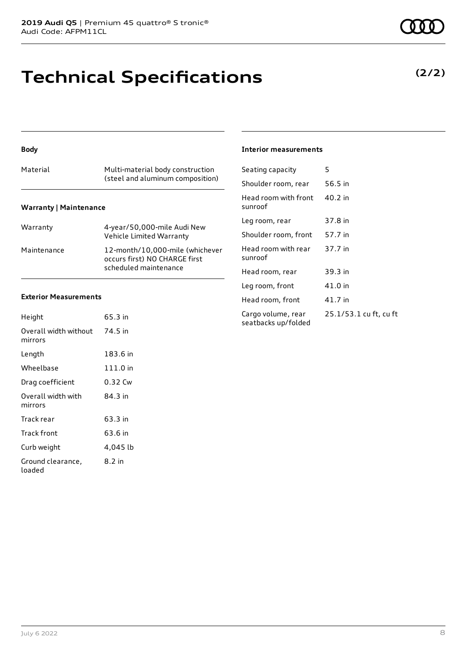### **Technical Specifications**

#### **Body**

| Material                      | Multi-material body construction<br>(steel and aluminum composition) |
|-------------------------------|----------------------------------------------------------------------|
| <b>Warranty   Maintenance</b> |                                                                      |

| Warranty    | 4-year/50,000-mile Audi New<br>Vehicle Limited Warranty                                   |
|-------------|-------------------------------------------------------------------------------------------|
| Maintenance | 12-month/10.000-mile (whichever<br>occurs first) NO CHARGE first<br>scheduled maintenance |

#### **Exterior Measurements**

| Height                           | 65.3 in  |
|----------------------------------|----------|
| Overall width without<br>mirrors | 74.5 in  |
| Length                           | 183.6 in |
| Wheelbase                        | 111.0 in |
| Drag coefficient                 | 0.32 Cw  |
| Overall width with<br>mirrors    | 84.3 in  |
| Track rear                       | 63.3 in  |
| Track front                      | 63.6 in  |
| Curb weight                      | 4,045 lb |
| Ground clearance,<br>loaded      | 8.2 in   |

#### **Interior measurements**

| Seating capacity                          | 5                      |
|-------------------------------------------|------------------------|
| Shoulder room, rear                       | 56.5 in                |
| Head room with front<br>sunroof           | 40.2 in                |
| Leg room, rear                            | 37.8 in                |
| Shoulder room, front                      | 57.7 in                |
| Head room with rear<br>sunroof            | 37.7 in                |
| Head room, rear                           | 39.3 in                |
| Leg room, front                           | 41.0 in                |
| Head room, front                          | 41.7 in                |
| Cargo volume, rear<br>seatbacks up/folded | 25.1/53.1 cu ft, cu ft |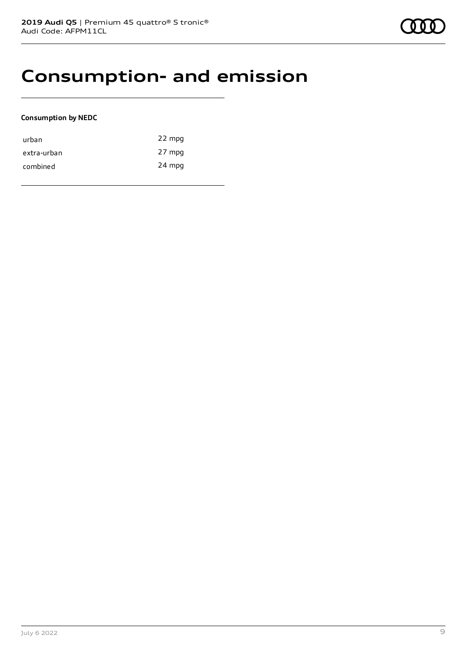### **Consumption- and emission**

#### **Consumption by NEDC**

| urban       | 22 mpg |
|-------------|--------|
| extra-urban | 27 mpg |
| combined    | 24 mpg |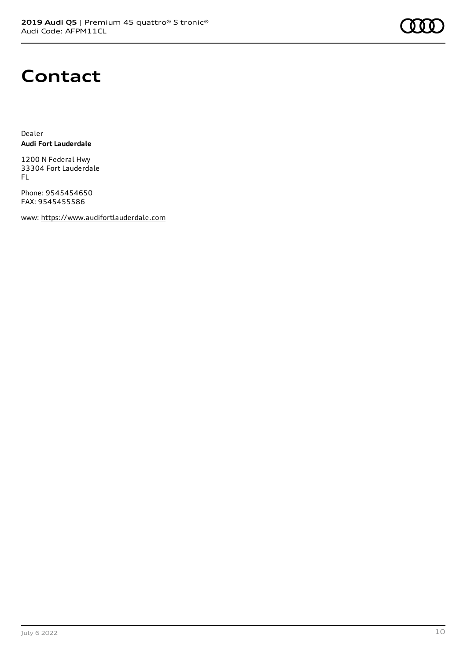

### **Contact**

Dealer **Audi Fort Lauderdale**

1200 N Federal Hwy 33304 Fort Lauderdale FL

Phone: 9545454650 FAX: 9545455586

www: [https://www.audifortlauderdale.com](https://www.audifortlauderdale.com/)